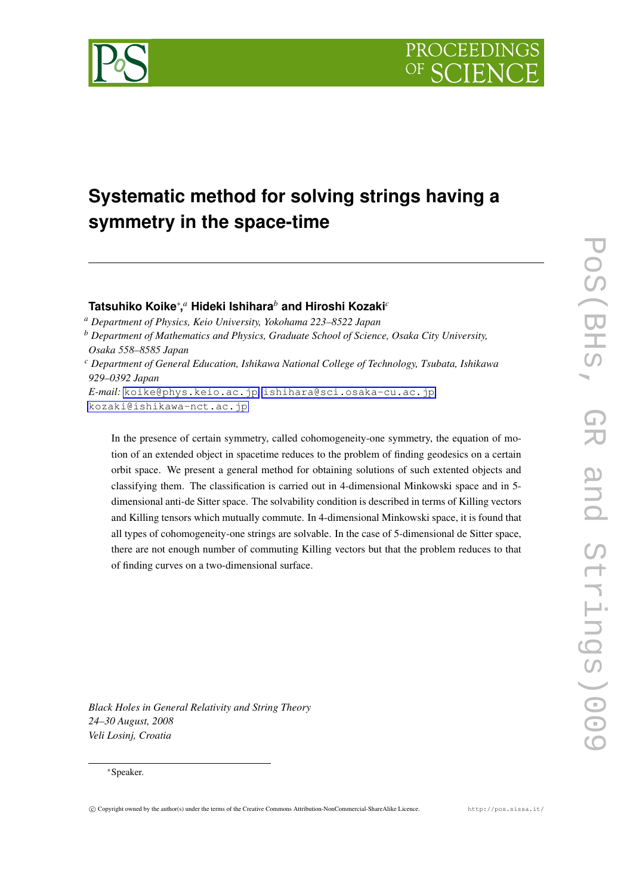

## **Systematic method for solving strings having a symmetry in the space-time**

## **Tatsuhiko Koike***∗* **,** *<sup>a</sup>* **Hideki Ishihara***<sup>b</sup>* **and Hiroshi Kozaki***<sup>c</sup>*

*<sup>a</sup> Department of Physics, Keio University, Yokohama 223–8522 Japan*

*<sup>b</sup> Department of Mathematics and Physics, Graduate School of Science, Osaka City University, Osaka 558–8585 Japan*

*E-mail:* [koike@phys.keio.ac.jp](mailto:koike@phys.keio.ac.jp)*,* [ishihara@sci.osaka-cu.ac.jp](mailto:ishihara@sci.osaka-cu.ac.jp)*,* [kozaki@ishikawa-nct.ac.jp](mailto:kozaki@ishikawa-nct.ac.jp)

In the presence of certain symmetry, called cohomogeneity-one symmetry, the equation of motion of an extended object in spacetime reduces to the problem of finding geodesics on a certain orbit space. We present a general method for obtaining solutions of such extented objects and classifying them. The classification is carried out in 4-dimensional Minkowski space and in 5 dimensional anti-de Sitter space. The solvability condition is described in terms of Killing vectors and Killing tensors which mutually commute. In 4-dimensional Minkowski space, it is found that all types of cohomogeneity-one strings are solvable. In the case of 5-dimensional de Sitter space, there are not enough number of commuting Killing vectors but that the problem reduces to that of finding curves on a two-dimensional surface.

*Black Holes in General Relativity and String Theory 24–30 August, 2008 Veli Losinj, Croatia*

## *∗*Speaker.

POS (BHS)

*<sup>c</sup> Department of General Education, Ishikawa National College of Technology, Tsubata, Ishikawa 929–0392 Japan*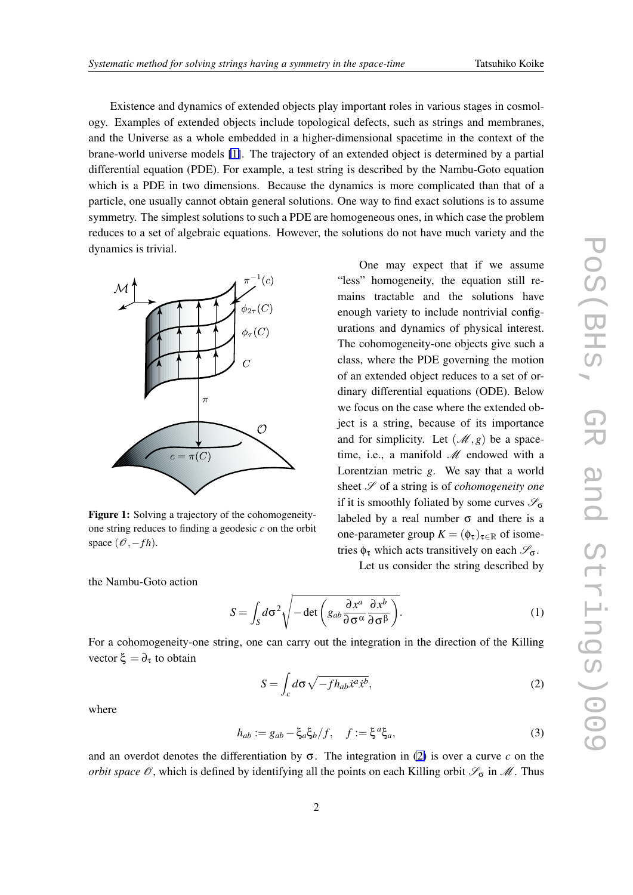<span id="page-1-0"></span>Existence and dynamics of extended objects play important roles in various stages in cosmology. Examples of extended objects include topological defects, such as strings and membranes, and the Universe as a whole embedded in a higher-dimensional spacetime in the context of the brane-world universe models [\[1\]](#page-3-0). The trajectory of an extended object is determined by a partial differential equation (PDE). For example, a test string is described by the Nambu-Goto equation which is a PDE in two dimensions. Because the dynamics is more complicated than that of a particle, one usually cannot obtain general solutions. One way to find exact solutions is to assume symmetry. The simplest solutions to such a PDE are homogeneous ones, in which case the problem reduces to a set of algebraic equations. However, the solutions do not have much variety and the dynamics is trivial.



Figure 1: Solving a trajectory of the cohomogeneityone string reduces to finding a geodesic *c* on the orbit space ( $\mathcal{O}, -fh$ ).

One may expect that if we assume "less" homogeneity, the equation still remains tractable and the solutions have enough variety to include nontrivial configurations and dynamics of physical interest. The cohomogeneity-one objects give such a class, where the PDE governing the motion of an extended object reduces to a set of ordinary differential equations (ODE). Below we focus on the case where the extended object is a string, because of its importance and for simplicity. Let  $(\mathcal{M}, g)$  be a spacetime, i.e., a manifold *M* endowed with a Lorentzian metric *g*. We say that a world sheet *S* of a string is of *cohomogeneity one* if it is smoothly foliated by some curves *S*<sup>σ</sup> labeled by a real number  $\sigma$  and there is a one-parameter group  $K = (\phi_{\tau})_{\tau \in \mathbb{R}}$  of isometries  $\phi_{\tau}$  which acts transitively on each  $\mathscr{S}_{\sigma}$ .

Let us consider the string described by

the Nambu-Goto action

$$
S = \int_{S} d\sigma^2 \sqrt{-\det \left( g_{ab} \frac{\partial x^a}{\partial \sigma^{\alpha}} \frac{\partial x^b}{\partial \sigma^{\beta}} \right)}.
$$
 (1)

For a cohomogeneity-one string, one can carry out the integration in the direction of the Killing vector  $\xi = \partial_\tau$  to obtain

$$
S = \int_{c} d\sigma \sqrt{-f h_{ab} \dot{x}^{a} \dot{x}^{b}},
$$
 (2)

where

$$
h_{ab} := g_{ab} - \xi_a \xi_b / f, \quad f := \xi^a \xi_a,\tag{3}
$$

and an overdot denotes the differentiation by  $\sigma$ . The integration in (2) is over a curve c on the *orbit space O*, which is defined by identifying all the points on each Killing orbit *S*<sup>σ</sup> in *M*. Thus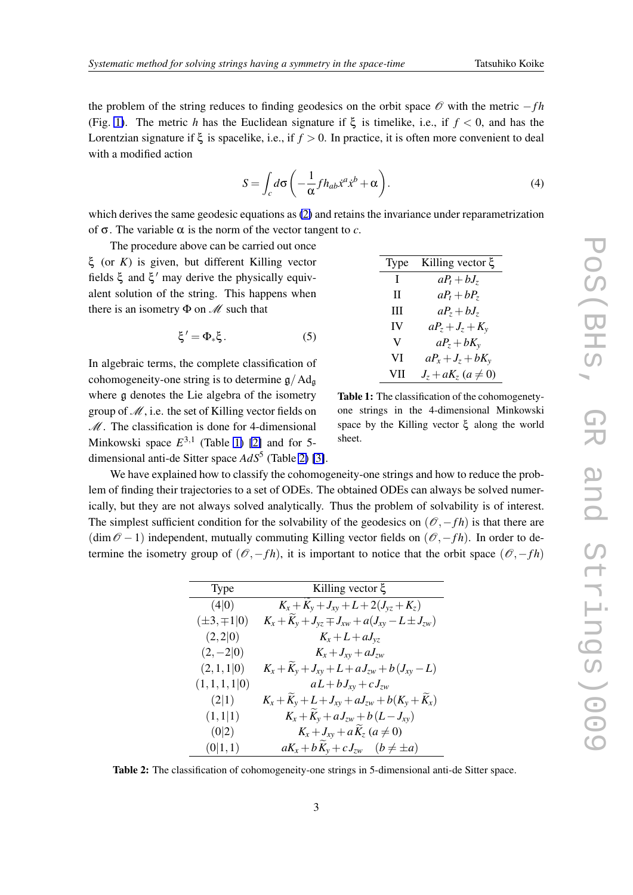the problem of the string reduces to finding geodesics on the orbit space *O* with the metric *−f h* (Fig. [1\)](#page-1-0). The metric *h* has the Euclidean signature if  $\xi$  is timelike, i.e., if  $f < 0$ , and has the Lorentzian signature if ξ is spacelike, i.e., if *f >* 0. In practice, it is often more convenient to deal with a modified action

$$
S = \int_{c} d\sigma \left( -\frac{1}{\alpha} f h_{ab} \dot{x}^{a} \dot{x}^{b} + \alpha \right). \tag{4}
$$

which derives the same geodesic equations as [\(2\)](#page-1-0) and retains the invariance under reparametrization of  $\sigma$ . The variable  $\alpha$  is the norm of the vector tangent to *c*.

The procedure above can be carried out once ξ (or *K*) is given, but different Killing vector fields ξ and ξ *′* may derive the physically equivalent solution of the string. This happens when there is an isometry Φ on *M* such that

$$
\xi' = \Phi_* \xi. \tag{5}
$$

In algebraic terms, the complete classification of cohomogeneity-one string is to determine  $\mathfrak{g}/\mathrm{Ad}_{\mathfrak{g}}$ where g denotes the Lie algebra of the isometry group of *M*, i.e. the set of Killing vector fields on *M*. The classification is done for 4-dimensional Minkowski space *E* 3*,*1 (Table 1) [\[2\]](#page-3-0) and for 5 dimensional anti-de Sitter space  $AdS^5$  (Table 2) [\[3\]](#page-3-0).

| Type | Killing vector ξ          |
|------|---------------------------|
| I    | $aP_t + bJ_z$             |
| Н    | $aP_t + bP_z$             |
| Ш    | $aP_z + bJ_z$             |
| IV   | $aP_z + J_z + K_v$        |
| V    | $aP_z + bK_v$             |
| VI   | $aP_x + J_z + bK_y$       |
| VП   | $J_z + aK_z$ $(a \neq 0)$ |

Table 1: The classification of the cohomogenetyone strings in the 4-dimensional Minkowski space by the Killing vector ξ along the world sheet.

We have explained how to classify the cohomogeneity-one strings and how to reduce the problem of finding their trajectories to a set of ODEs. The obtained ODEs can always be solved numerically, but they are not always solved analytically. Thus the problem of solvability is of interest. The simplest sufficient condition for the solvability of the geodesics on  $(\mathcal{O}, -fh)$  is that there are (dim*O −*1) independent, mutually commuting Killing vector fields on (*O,−f h*). In order to determine the isometry group of  $(\mathcal{O}, -fh)$ , it is important to notice that the orbit space  $(\mathcal{O}, -fh)$ 

| <b>Type</b>        | Killing vector $ξ$                                         |
|--------------------|------------------------------------------------------------|
| (4 0)              | $K_x + K_y + J_{xy} + L + 2(J_{yz} + K_z)$                 |
| $(\pm 3, \mp 1 0)$ | $K_x + K_y + J_{yz} \mp J_{xw} + a(J_{xy} - L \pm J_{zw})$ |
| (2,2 0)            | $K_x + L + aJ_{yz}$                                        |
| $(2,-2 0)$         | $K_{x} + J_{xy} + aJ_{zw}$                                 |
| (2,1,1 0)          | $K_x + K_y + J_{xy} + L + aJ_{zw} + b(J_{xy} - L)$         |
| (1,1,1,1 0)        | $aL+bJ_{xy}+cJ_{zw}$                                       |
| (2 1)              | $K_x + K_y + L + J_{xy} + aJ_{zw} + b(K_y + K_x)$          |
| (1,1 1)            | $K_x + K_y + a J_{zw} + b (L - J_{xy})$                    |
| (0 2)              | $K_x + J_{xy} + aK_z \ (a \neq 0)$                         |
| (0 1,1)            | $aK_x + bK_y + cJ_{zw}$ $(b \neq \pm a)$                   |

Table 2: The classification of cohomogeneity-one strings in 5-dimensional anti-de Sitter space.